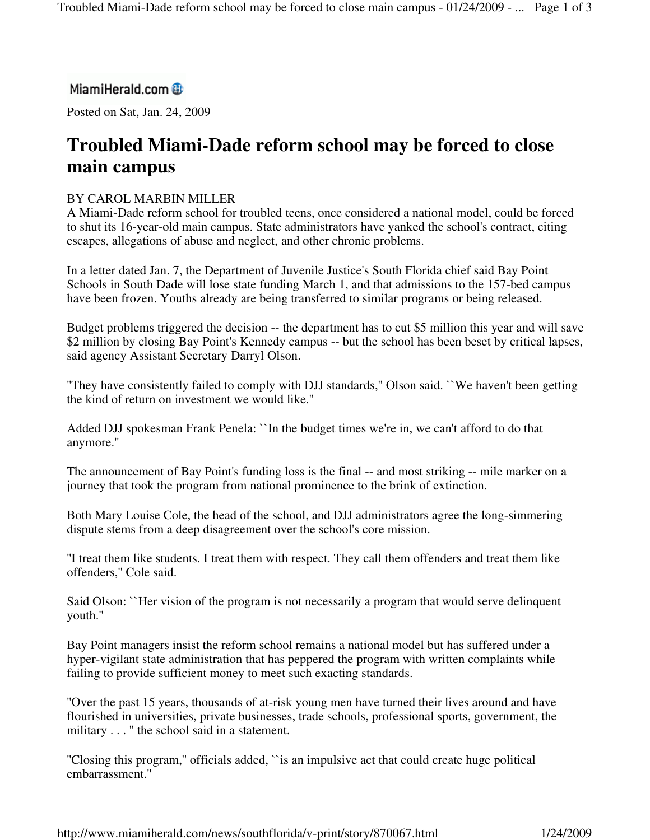## MiamiHerald.com

Posted on Sat, Jan. 24, 2009

# **Troubled Miami-Dade reform school may be forced to close main campus**

### BY CAROL MARBIN MILLER

A Miami-Dade reform school for troubled teens, once considered a national model, could be forced to shut its 16-year-old main campus. State administrators have yanked the school's contract, citing escapes, allegations of abuse and neglect, and other chronic problems.

In a letter dated Jan. 7, the Department of Juvenile Justice's South Florida chief said Bay Point Schools in South Dade will lose state funding March 1, and that admissions to the 157-bed campus have been frozen. Youths already are being transferred to similar programs or being released.

Budget problems triggered the decision -- the department has to cut \$5 million this year and will save \$2 million by closing Bay Point's Kennedy campus -- but the school has been beset by critical lapses, said agency Assistant Secretary Darryl Olson.

''They have consistently failed to comply with DJJ standards,'' Olson said. ``We haven't been getting the kind of return on investment we would like.''

Added DJJ spokesman Frank Penela: ``In the budget times we're in, we can't afford to do that anymore.''

The announcement of Bay Point's funding loss is the final -- and most striking -- mile marker on a journey that took the program from national prominence to the brink of extinction.

Both Mary Louise Cole, the head of the school, and DJJ administrators agree the long-simmering dispute stems from a deep disagreement over the school's core mission.

''I treat them like students. I treat them with respect. They call them offenders and treat them like offenders,'' Cole said.

Said Olson: ``Her vision of the program is not necessarily a program that would serve delinquent youth.''

Bay Point managers insist the reform school remains a national model but has suffered under a hyper-vigilant state administration that has peppered the program with written complaints while failing to provide sufficient money to meet such exacting standards.

''Over the past 15 years, thousands of at-risk young men have turned their lives around and have flourished in universities, private businesses, trade schools, professional sports, government, the military . . . " the school said in a statement.

''Closing this program,'' officials added, ``is an impulsive act that could create huge political embarrassment.''

http://www.miamiherald.com/news/southflorida/v-print/story/870067.html 1/24/2009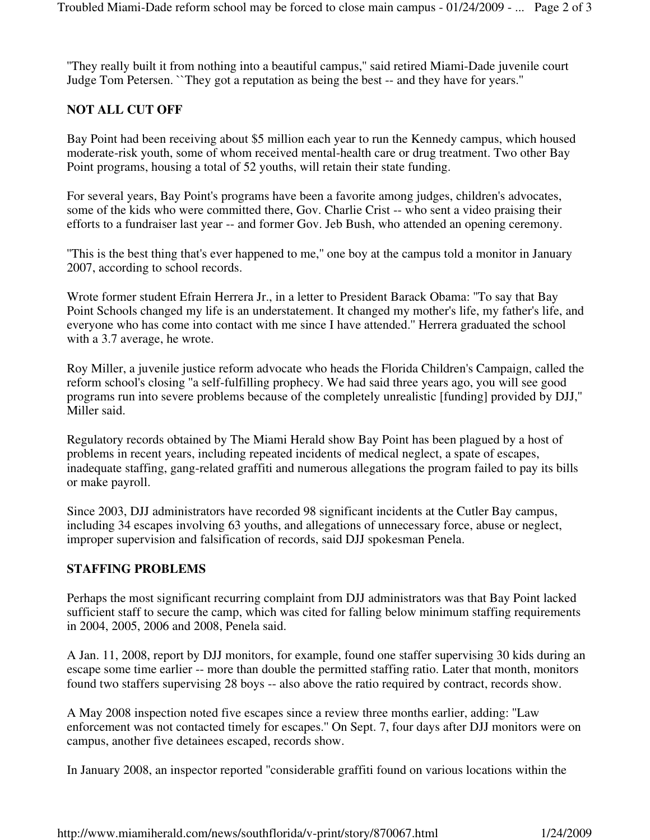''They really built it from nothing into a beautiful campus,'' said retired Miami-Dade juvenile court Judge Tom Petersen. ``They got a reputation as being the best -- and they have for years.''

#### **NOT ALL CUT OFF**

Bay Point had been receiving about \$5 million each year to run the Kennedy campus, which housed moderate-risk youth, some of whom received mental-health care or drug treatment. Two other Bay Point programs, housing a total of 52 youths, will retain their state funding.

For several years, Bay Point's programs have been a favorite among judges, children's advocates, some of the kids who were committed there, Gov. Charlie Crist -- who sent a video praising their efforts to a fundraiser last year -- and former Gov. Jeb Bush, who attended an opening ceremony.

''This is the best thing that's ever happened to me,'' one boy at the campus told a monitor in January 2007, according to school records.

Wrote former student Efrain Herrera Jr., in a letter to President Barack Obama: ''To say that Bay Point Schools changed my life is an understatement. It changed my mother's life, my father's life, and everyone who has come into contact with me since I have attended.'' Herrera graduated the school with a 3.7 average, he wrote.

Roy Miller, a juvenile justice reform advocate who heads the Florida Children's Campaign, called the reform school's closing ''a self-fulfilling prophecy. We had said three years ago, you will see good programs run into severe problems because of the completely unrealistic [funding] provided by DJJ,'' Miller said.

Regulatory records obtained by The Miami Herald show Bay Point has been plagued by a host of problems in recent years, including repeated incidents of medical neglect, a spate of escapes, inadequate staffing, gang-related graffiti and numerous allegations the program failed to pay its bills or make payroll.

Since 2003, DJJ administrators have recorded 98 significant incidents at the Cutler Bay campus, including 34 escapes involving 63 youths, and allegations of unnecessary force, abuse or neglect, improper supervision and falsification of records, said DJJ spokesman Penela.

#### **STAFFING PROBLEMS**

Perhaps the most significant recurring complaint from DJJ administrators was that Bay Point lacked sufficient staff to secure the camp, which was cited for falling below minimum staffing requirements in 2004, 2005, 2006 and 2008, Penela said.

A Jan. 11, 2008, report by DJJ monitors, for example, found one staffer supervising 30 kids during an escape some time earlier -- more than double the permitted staffing ratio. Later that month, monitors found two staffers supervising 28 boys -- also above the ratio required by contract, records show.

A May 2008 inspection noted five escapes since a review three months earlier, adding: ''Law enforcement was not contacted timely for escapes.'' On Sept. 7, four days after DJJ monitors were on campus, another five detainees escaped, records show.

In January 2008, an inspector reported ''considerable graffiti found on various locations within the

http://www.miamiherald.com/news/southflorida/v-print/story/870067.html 1/24/2009